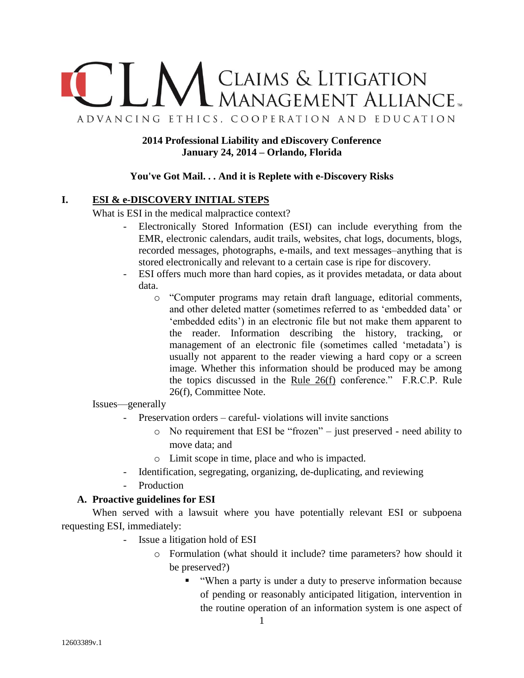

**2014 Professional Liability and eDiscovery Conference January 24, 2014 – Orlando, Florida**

### **You've Got Mail. . . And it is Replete with e-Discovery Risks**

## **I. ESI & e-DISCOVERY INITIAL STEPS**

What is ESI in the medical malpractice context?

- Electronically Stored Information (ESI) can include everything from the EMR, electronic calendars, audit trails, websites, chat logs, documents, blogs, recorded messages, photographs, e-mails, and text messages–anything that is stored electronically and relevant to a certain case is ripe for discovery.
- ESI offers much more than hard copies, as it provides metadata, or data about data.
	- o "Computer programs may retain draft language, editorial comments, and other deleted matter (sometimes referred to as 'embedded data' or 'embedded edits') in an electronic file but not make them apparent to the reader. Information describing the history, tracking, or management of an electronic file (sometimes called 'metadata') is usually not apparent to the reader viewing a hard copy or a screen image. Whether this information should be produced may be among the topics discussed in the Rule  $26(f)$  conference." F.R.C.P. Rule 26(f), Committee Note.

Issues—generally

- Preservation orders careful- violations will invite sanctions
	- o No requirement that ESI be "frozen" just preserved need ability to move data; and
	- o Limit scope in time, place and who is impacted.
- Identification, segregating, organizing, de-duplicating, and reviewing
- Production

### **A. Proactive guidelines for ESI**

When served with a lawsuit where you have potentially relevant ESI or subpoena requesting ESI, immediately:

- Issue a litigation hold of ESI
	- o Formulation (what should it include? time parameters? how should it be preserved?)
		- "When a party is under a duty to preserve information because of pending or reasonably anticipated litigation, intervention in the routine operation of an information system is one aspect of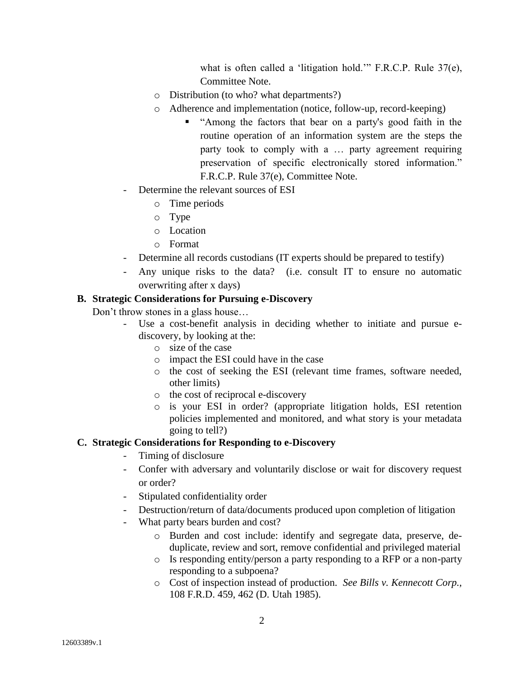what is often called a 'litigation hold.'" F.R.C.P. Rule 37(e), Committee Note.

- o Distribution (to who? what departments?)
- o Adherence and implementation (notice, follow-up, record-keeping)
	- "Among the factors that bear on a party's good faith in the routine operation of an information system are the steps the party took to comply with a … party agreement requiring preservation of specific electronically stored information." F.R.C.P. Rule 37(e), Committee Note.
- Determine the relevant sources of ESI
	- o Time periods
	- o Type
	- o Location
	- o Format
- Determine all records custodians (IT experts should be prepared to testify)
- Any unique risks to the data? (i.e. consult IT to ensure no automatic overwriting after x days)

## **B. Strategic Considerations for Pursuing e-Discovery**

Don't throw stones in a glass house…

- Use a cost-benefit analysis in deciding whether to initiate and pursue ediscovery, by looking at the:
	- o size of the case
	- o impact the ESI could have in the case
	- o the cost of seeking the ESI (relevant time frames, software needed, other limits)
	- o the cost of reciprocal e-discovery
	- o is your ESI in order? (appropriate litigation holds, ESI retention policies implemented and monitored, and what story is your metadata going to tell?)

## **C. Strategic Considerations for Responding to e-Discovery**

- Timing of disclosure
- Confer with adversary and voluntarily disclose or wait for discovery request or order?
- Stipulated confidentiality order
- Destruction/return of data/documents produced upon completion of litigation
- What party bears burden and cost?
	- o Burden and cost include: identify and segregate data, preserve, deduplicate, review and sort, remove confidential and privileged material
	- o Is responding entity/person a party responding to a RFP or a non-party responding to a subpoena?
	- o Cost of inspection instead of production. *See Bills v. Kennecott Corp.,*  108 F.R.D. 459, 462 (D. Utah 1985).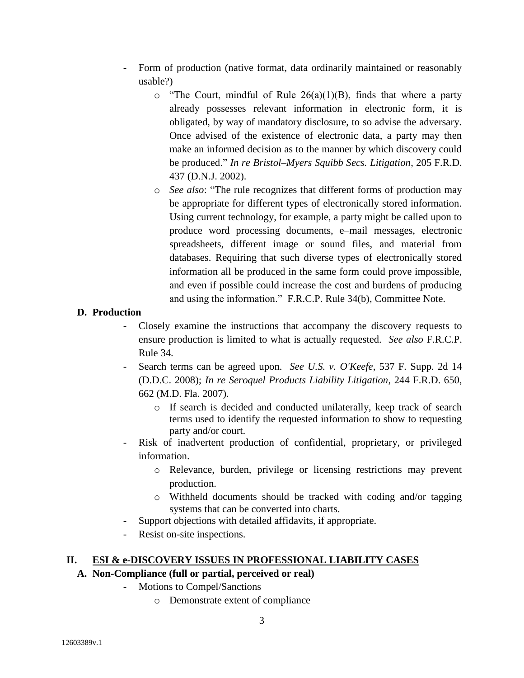- Form of production (native format, data ordinarily maintained or reasonably usable?)
	- $\circ$  "The Court, mindful of Rule 26(a)(1)(B), finds that where a party already possesses relevant information in electronic form, it is obligated, by way of mandatory disclosure, to so advise the adversary. Once advised of the existence of electronic data, a party may then make an informed decision as to the manner by which discovery could be produced." *In re Bristol–Myers Squibb Secs. Litigation*, 205 F.R.D. 437 (D.N.J. 2002).
	- o *See also*: "The rule recognizes that different forms of production may be appropriate for different types of electronically stored information. Using current technology, for example, a party might be called upon to produce word processing documents, e–mail messages, electronic spreadsheets, different image or sound files, and material from databases. Requiring that such diverse types of electronically stored information all be produced in the same form could prove impossible, and even if possible could increase the cost and burdens of producing and using the information." F.R.C.P. Rule 34(b), Committee Note.

# **D. Production**

- Closely examine the instructions that accompany the discovery requests to ensure production is limited to what is actually requested*. See also* F.R.C.P. Rule 34.
- Search terms can be agreed upon. *See U.S. v. O'Keefe*, 537 F. Supp. 2d 14 (D.D.C. 2008); *In re Seroquel Products Liability Litigation*, 244 F.R.D. 650, 662 (M.D. Fla. 2007).
	- o If search is decided and conducted unilaterally, keep track of search terms used to identify the requested information to show to requesting party and/or court.
- Risk of inadvertent production of confidential, proprietary, or privileged information.
	- o Relevance, burden, privilege or licensing restrictions may prevent production.
	- o Withheld documents should be tracked with coding and/or tagging systems that can be converted into charts.
- Support objections with detailed affidavits, if appropriate.
- Resist on-site inspections.

## **II. ESI & e-DISCOVERY ISSUES IN PROFESSIONAL LIABILITY CASES**

## **A. Non-Compliance (full or partial, perceived or real)**

- Motions to Compel/Sanctions
	- o Demonstrate extent of compliance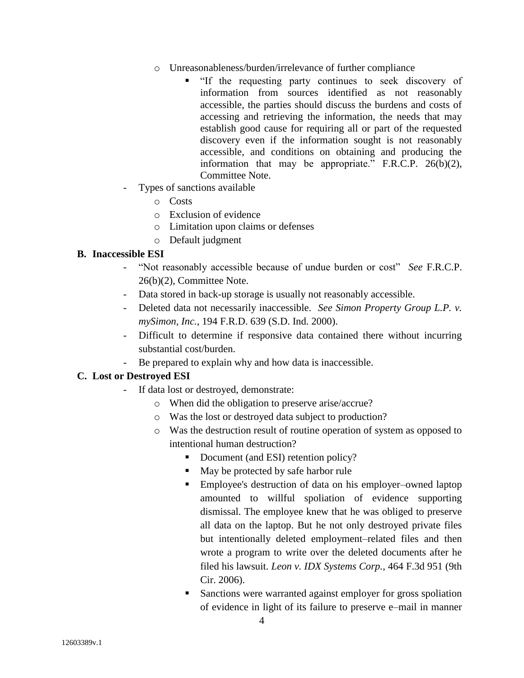- o Unreasonableness/burden/irrelevance of further compliance
	- "If the requesting party continues to seek discovery of information from sources identified as not reasonably accessible, the parties should discuss the burdens and costs of accessing and retrieving the information, the needs that may establish good cause for requiring all or part of the requested discovery even if the information sought is not reasonably accessible, and conditions on obtaining and producing the information that may be appropriate." F.R.C.P. 26(b)(2), Committee Note.
- Types of sanctions available
	- o Costs
	- o Exclusion of evidence
	- o Limitation upon claims or defenses
	- o Default judgment

### **B. Inaccessible ESI**

- "Not reasonably accessible because of undue burden or cost" *See* F.R.C.P. 26(b)(2), Committee Note.
- Data stored in back-up storage is usually not reasonably accessible.
- Deleted data not necessarily inaccessible. *See Simon Property Group L.P. v. mySimon, Inc.*, 194 F.R.D. 639 (S.D. Ind. 2000).
- Difficult to determine if responsive data contained there without incurring substantial cost/burden.
- Be prepared to explain why and how data is inaccessible.

## **C. Lost or Destroyed ESI**

- If data lost or destroyed, demonstrate:
	- o When did the obligation to preserve arise/accrue?
	- o Was the lost or destroyed data subject to production?
	- o Was the destruction result of routine operation of system as opposed to intentional human destruction?
		- Document (and ESI) retention policy?
		- May be protected by safe harbor rule
		- Employee's destruction of data on his employer–owned laptop amounted to willful spoliation of evidence supporting dismissal. The employee knew that he was obliged to preserve all data on the laptop. But he not only destroyed private files but intentionally deleted employment–related files and then wrote a program to write over the deleted documents after he filed his lawsuit. *Leon v. IDX Systems Corp.*, 464 F.3d 951 (9th Cir. 2006).
		- Sanctions were warranted against employer for gross spoliation of evidence in light of its failure to preserve e–mail in manner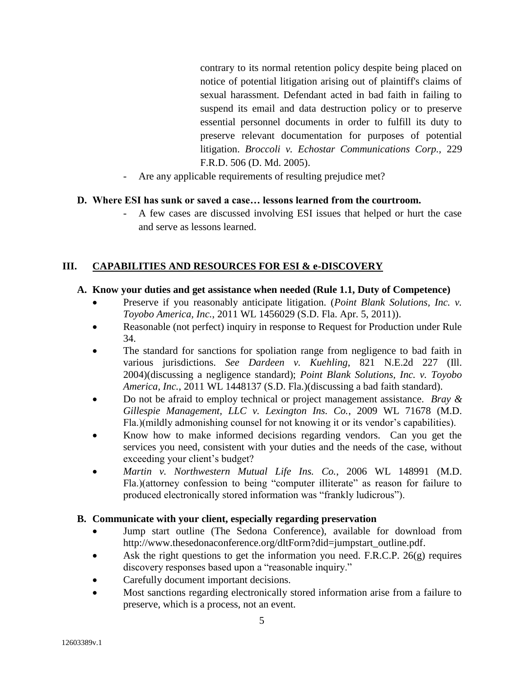contrary to its normal retention policy despite being placed on notice of potential litigation arising out of plaintiff's claims of sexual harassment. Defendant acted in bad faith in failing to suspend its email and data destruction policy or to preserve essential personnel documents in order to fulfill its duty to preserve relevant documentation for purposes of potential litigation. *Broccoli v. Echostar Communications Corp.,* 229 F.R.D. 506 (D. Md. 2005).

Are any applicable requirements of resulting prejudice met?

### **D. Where ESI has sunk or saved a case… lessons learned from the courtroom.**

- A few cases are discussed involving ESI issues that helped or hurt the case and serve as lessons learned.

### **III. CAPABILITIES AND RESOURCES FOR ESI & e-DISCOVERY**

### **A. Know your duties and get assistance when needed (Rule 1.1, Duty of Competence)**

- Preserve if you reasonably anticipate litigation. (*Point Blank Solutions, Inc. v. Toyobo America, Inc.*, 2011 WL 1456029 (S.D. Fla. Apr. 5, 2011)).
- Reasonable (not perfect) inquiry in response to Request for Production under Rule 34.
- The standard for sanctions for spoliation range from negligence to bad faith in various jurisdictions. *See Dardeen v. Kuehling*, 821 N.E.2d 227 (Ill. 2004)(discussing a negligence standard); *Point Blank Solutions, Inc. v. Toyobo America, Inc.*, 2011 WL 1448137 (S.D. Fla.)(discussing a bad faith standard).
- Do not be afraid to employ technical or project management assistance. *Bray & Gillespie Management, LLC v. Lexington Ins. Co.*, 2009 WL 71678 (M.D. Fla.)(mildly admonishing counsel for not knowing it or its vendor's capabilities).
- Know how to make informed decisions regarding vendors. Can you get the services you need, consistent with your duties and the needs of the case, without exceeding your client's budget?
- *Martin v. Northwestern Mutual Life Ins. Co.*, 2006 WL 148991 (M.D. Fla.)(attorney confession to being "computer illiterate" as reason for failure to produced electronically stored information was "frankly ludicrous").

### **B. Communicate with your client, especially regarding preservation**

- Jump start outline (The Sedona Conference), available for download from http://www.thesedonaconference.org/dltForm?did=jumpstart\_outline.pdf.
- Ask the right questions to get the information you need. F.R.C.P. 26(g) requires discovery responses based upon a "reasonable inquiry."
- Carefully document important decisions.
- Most sanctions regarding electronically stored information arise from a failure to preserve, which is a process, not an event.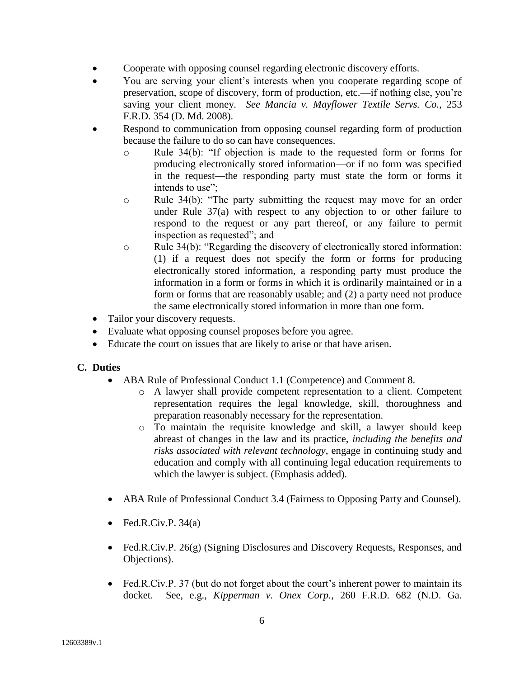- Cooperate with opposing counsel regarding electronic discovery efforts.
- You are serving your client's interests when you cooperate regarding scope of preservation, scope of discovery, form of production, etc.—if nothing else, you're saving your client money. *See Mancia v. Mayflower Textile Servs. Co.*, 253 F.R.D. 354 (D. Md. 2008).
- Respond to communication from opposing counsel regarding form of production because the failure to do so can have consequences.
	- o Rule 34(b): "If objection is made to the requested form or forms for producing electronically stored information—or if no form was specified in the request—the responding party must state the form or forms it intends to use";
	- o Rule 34(b): "The party submitting the request may move for an order under Rule 37(a) with respect to any objection to or other failure to respond to the request or any part thereof, or any failure to permit inspection as requested"; and
	- o Rule 34(b): "Regarding the discovery of electronically stored information: (1) if a request does not specify the form or forms for producing electronically stored information, a responding party must produce the information in a form or forms in which it is ordinarily maintained or in a form or forms that are reasonably usable; and (2) a party need not produce the same electronically stored information in more than one form.
- Tailor your discovery requests.
- Evaluate what opposing counsel proposes before you agree.
- Educate the court on issues that are likely to arise or that have arisen.

### **C. Duties**

- ABA Rule of Professional Conduct 1.1 (Competence) and Comment 8.
	- o A lawyer shall provide competent representation to a client. Competent representation requires the legal knowledge, skill, thoroughness and preparation reasonably necessary for the representation.
	- o To maintain the requisite knowledge and skill, a lawyer should keep abreast of changes in the law and its practice, *including the benefits and risks associated with relevant technology*, engage in continuing study and education and comply with all continuing legal education requirements to which the lawyer is subject. (Emphasis added).
- ABA Rule of Professional Conduct 3.4 (Fairness to Opposing Party and Counsel).
- Fed.R.Civ.P.  $34(a)$
- Fed.R.Civ.P. 26(g) (Signing Disclosures and Discovery Requests, Responses, and Objections).
- Fed.R.Civ.P. 37 (but do not forget about the court's inherent power to maintain its docket. See, e.g., *Kipperman v. Onex Corp.*, 260 F.R.D. 682 (N.D. Ga.